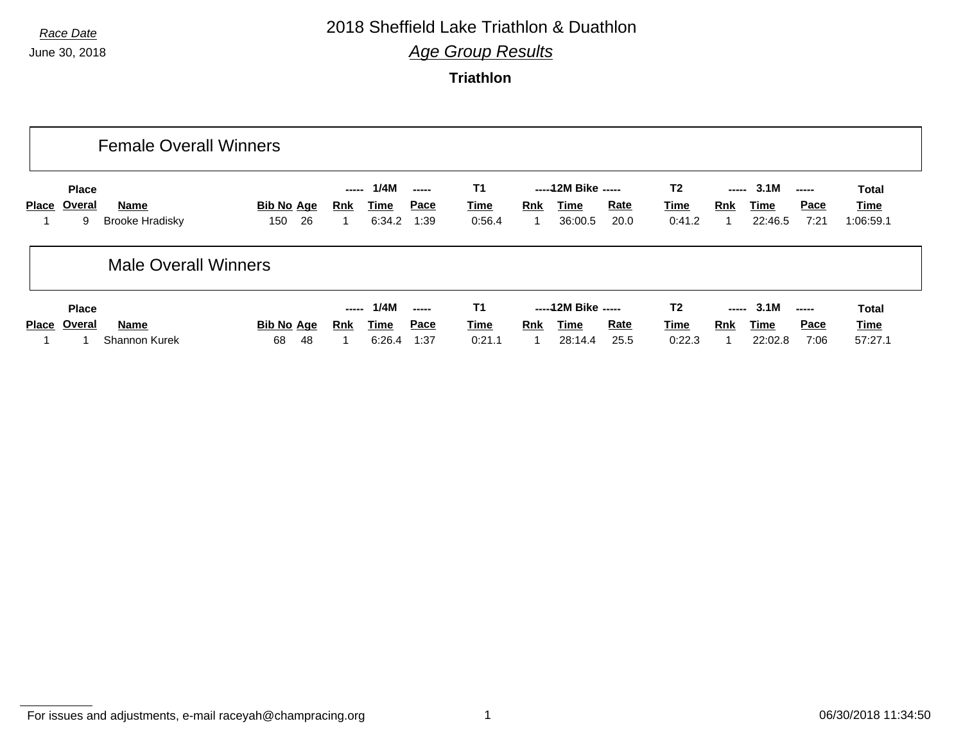### *Race Date* 2018 Sheffield Lake Triathlon & Duathlon

*Age Group Results*

**Triathlon**

|              |                                    | <b>Female Overall Winners</b>         |                                |                     |                        |              |                                    |            |                                         |                     |                                         |              |                         |              |                                   |
|--------------|------------------------------------|---------------------------------------|--------------------------------|---------------------|------------------------|--------------|------------------------------------|------------|-----------------------------------------|---------------------|-----------------------------------------|--------------|-------------------------|--------------|-----------------------------------|
| <b>Place</b> | <b>Place</b><br><u>Overal</u><br>9 | <b>Name</b><br><b>Brooke Hradisky</b> | <b>Bib No Age</b><br>26<br>150 | -----<br><u>Rnk</u> | 1/4M<br>Time<br>6:34.2 | Pace<br>1:39 | <b>T1</b><br><b>Time</b><br>0:56.4 | Rnk        | ----- 12M Bike -----<br>Time<br>36:00.5 | <u>Rate</u><br>20.0 | T <sub>2</sub><br><b>Time</b><br>0:41.2 | -----<br>Rnk | 3.1M<br>Time<br>22:46.5 | Pace<br>7:21 | <b>Total</b><br>Time<br>1:06:59.1 |
|              |                                    | <b>Male Overall Winners</b>           |                                |                     |                        |              |                                    |            |                                         |                     |                                         |              |                         |              |                                   |
|              | <b>Place</b>                       |                                       |                                | -----               | 1/4M                   |              | T1                                 |            | ----- 12M Bike -----                    |                     | T <sub>2</sub>                          | -----        | 3.1M                    |              | <b>Total</b>                      |
|              | Place Overal                       | Name                                  | <b>Bib No Age</b>              | <u>Rnk</u>          | Time                   | Pace         | <b>Time</b>                        | <b>Rnk</b> | Time                                    | Rate                | <b>Time</b>                             | Rnk          | Time                    | Pace         | <u>Time</u>                       |
|              |                                    | <b>Shannon Kurek</b>                  | 48<br>68                       |                     | 6:26.4                 | 1:37         | 0:21.1                             |            | 28:14.4                                 | 25.5                | 0:22.3                                  |              | 22:02.8                 | 7:06         | 57:27.1                           |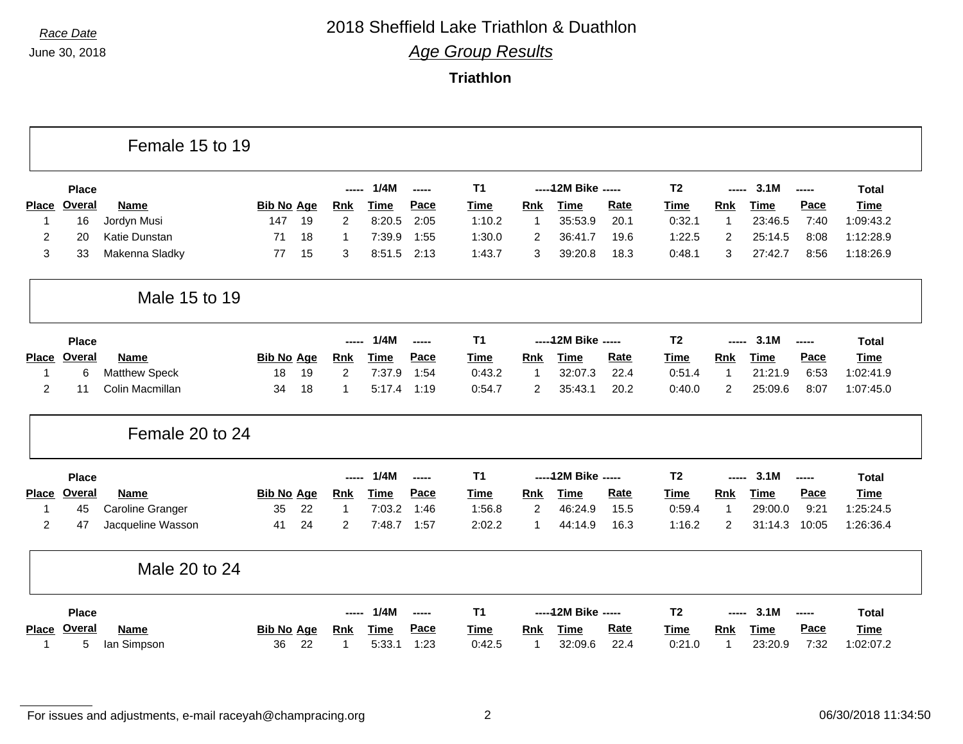## *Race Date* 2018 Sheffield Lake Triathlon & Duathlon

*Age Group Results*

**Triathlon**

|                |               | Female 15 to 19      |                   |    |                |             |       |             |                |                      |             |                |                |             |       |              |
|----------------|---------------|----------------------|-------------------|----|----------------|-------------|-------|-------------|----------------|----------------------|-------------|----------------|----------------|-------------|-------|--------------|
|                | <b>Place</b>  |                      |                   |    | ----           | 1/4M        | ----- | <b>T1</b>   |                | ----- 12M Bike ----- |             | T <sub>2</sub> | -----          | 3.1M        | ----- | <b>Total</b> |
| <b>Place</b>   | <b>Overal</b> | <b>Name</b>          | <b>Bib No Age</b> |    | <b>Rnk</b>     | <b>Time</b> | Pace  | <b>Time</b> | Rnk            | <b>Time</b>          | Rate        | <b>Time</b>    | Rnk            | <b>Time</b> | Pace  | <b>Time</b>  |
| 1              | 16            | Jordyn Musi          | 147               | 19 | 2              | 8:20.5      | 2:05  | 1:10.2      | -1             | 35:53.9              | 20.1        | 0:32.1         | $\overline{1}$ | 23:46.5     | 7:40  | 1:09:43.2    |
| $\overline{2}$ | 20            | Katie Dunstan        | 71                | 18 | 1              | 7:39.9      | 1:55  | 1:30.0      | $\overline{2}$ | 36:41.7              | 19.6        | 1:22.5         | $\overline{2}$ | 25:14.5     | 8:08  | 1:12:28.9    |
| 3              | 33            | Makenna Sladky       | 77                | 15 | 3              | 8:51.5      | 2:13  | 1:43.7      | 3              | 39:20.8              | 18.3        | 0:48.1         | 3              | 27:42.7     | 8:56  | 1:18:26.9    |
|                |               | Male 15 to 19        |                   |    |                |             |       |             |                |                      |             |                |                |             |       |              |
|                | <b>Place</b>  |                      |                   |    | -----          | 1/4M        | ----- | <b>T1</b>   |                | ----- 12M Bike ----- |             | T <sub>2</sub> | -----          | 3.1M        | ----- | <b>Total</b> |
| <b>Place</b>   | Overal        | <b>Name</b>          | <b>Bib No Age</b> |    | <b>Rnk</b>     | <b>Time</b> | Pace  | <b>Time</b> | Rnk            | <b>Time</b>          | <b>Rate</b> | <b>Time</b>    | Rnk            | <b>Time</b> | Pace  | <b>Time</b>  |
| 1              | 6             | <b>Matthew Speck</b> | 18                | 19 | 2              | 7:37.9      | 1:54  | 0:43.2      | -1             | 32:07.3              | 22.4        | 0:51.4         | $\mathbf{1}$   | 21:21.9     | 6:53  | 1:02:41.9    |
| $\overline{c}$ | 11            | Colin Macmillan      | 34                | 18 | $\mathbf{1}$   | 5:17.4      | 1:19  | 0:54.7      | $\overline{2}$ | 35:43.1              | 20.2        | 0:40.0         | 2              | 25:09.6     | 8:07  | 1:07:45.0    |
|                |               | Female 20 to 24      |                   |    |                |             |       |             |                |                      |             |                |                |             |       |              |
|                | <b>Place</b>  |                      |                   |    | -----          | 1/4M        | ----- | <b>T1</b>   |                | ----- 12M Bike ----- |             | <b>T2</b>      | -----          | 3.1M        | ----- | <b>Total</b> |
| <b>Place</b>   | Overal        | <b>Name</b>          | <b>Bib No Age</b> |    | <b>Rnk</b>     | <b>Time</b> | Pace  | <b>Time</b> | <b>Rnk</b>     | <b>Time</b>          | <b>Rate</b> | <b>Time</b>    | <b>Rnk</b>     | <b>Time</b> | Pace  | <b>Time</b>  |
| 1              | 45            | Caroline Granger     | 35                | 22 | $\mathbf{1}$   | 7:03.2      | 1:46  | 1:56.8      | $\overline{2}$ | 46:24.9              | 15.5        | 0:59.4         | $\overline{1}$ | 29:00.0     | 9:21  | 1:25:24.5    |
| $\overline{2}$ | 47            | Jacqueline Wasson    | 41                | 24 | $\overline{2}$ | 7:48.7      | 1:57  | 2:02.2      | 1              | 44:14.9              | 16.3        | 1:16.2         | 2              | 31:14.3     | 10:05 | 1:26:36.4    |
|                |               | Male 20 to 24        |                   |    |                |             |       |             |                |                      |             |                |                |             |       |              |
|                | <b>Place</b>  |                      |                   |    | -----          | 1/4M        | ----- | <b>T1</b>   |                | ----- 12M Bike ----- |             | T <sub>2</sub> | -----          | 3.1M        | ----- | <b>Total</b> |
| <b>Place</b>   | <b>Overal</b> | <b>Name</b>          | <b>Bib No Age</b> |    | <b>Rnk</b>     | <b>Time</b> | Pace  | <b>Time</b> | Rnk            | <b>Time</b>          | <b>Rate</b> | <b>Time</b>    | <b>Rnk</b>     | <b>Time</b> | Pace  | <b>Time</b>  |
| 1              | 5             | lan Simpson          | 36                | 22 | 1              | 5:33.1      | 1:23  | 0:42.5      | 1              | 32:09.6              | 22.4        | 0:21.0         | -1             | 23:20.9     | 7:32  | 1:02:07.2    |

For issues and adjustments, e-mail raceyah@champracing.org 2 2 06/30/2018 11:34:50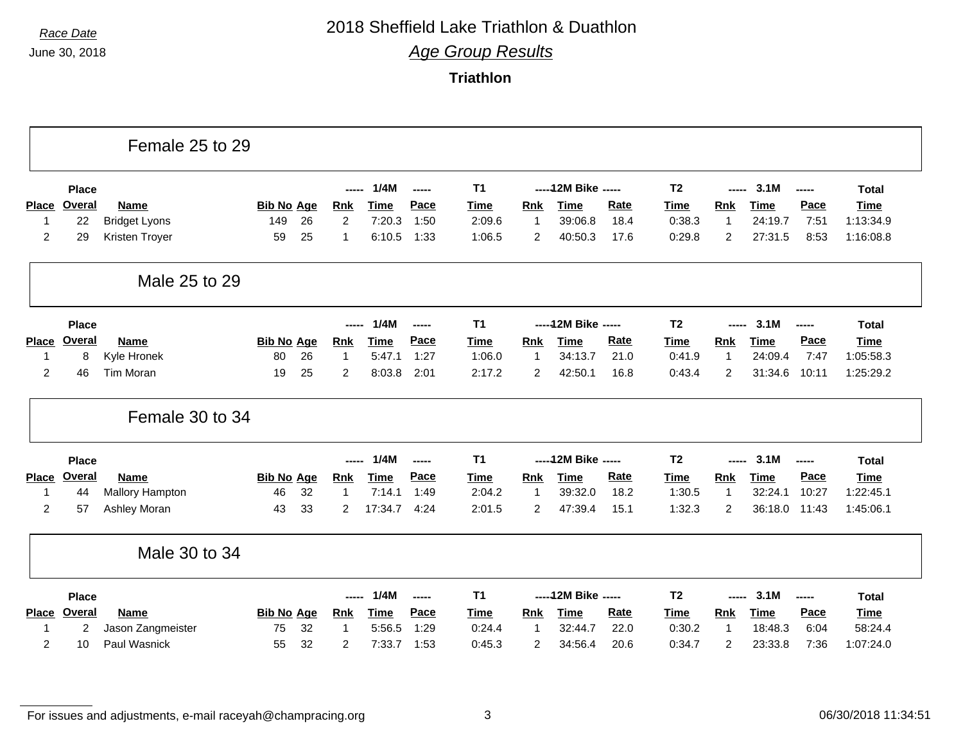### *Race Date* 2018 Sheffield Lake Triathlon & Duathlon

*Age Group Results*

**Triathlon**

|                |               | Female 25 to 29        |                   |    |                |             |        |                |                |                      |             |                |                |             |       |              |
|----------------|---------------|------------------------|-------------------|----|----------------|-------------|--------|----------------|----------------|----------------------|-------------|----------------|----------------|-------------|-------|--------------|
|                | <b>Place</b>  |                        |                   |    | -----          | 1/4M        | -----  | T <sub>1</sub> |                | ----- 12M Bike ----- |             | T <sub>2</sub> | -----          | 3.1M        | ----- | <b>Total</b> |
| <b>Place</b>   | <b>Overal</b> | Name                   | <b>Bib No Age</b> |    | <b>Rnk</b>     | Time        | Pace   | Time           | <b>Rnk</b>     | Time                 | Rate        | <b>Time</b>    | Rnk            | <b>Time</b> | Pace  | <b>Time</b>  |
| -1             | 22            | <b>Bridget Lyons</b>   | 149               | 26 | $\overline{2}$ | 7:20.3      | 1:50   | 2:09.6         | $\overline{1}$ | 39:06.8              | 18.4        | 0:38.3         | $\mathbf{1}$   | 24:19.7     | 7:51  | 1:13:34.9    |
| 2              | 29            | Kristen Troyer         | 59                | 25 | 1              | 6:10.5      | 1:33   | 1:06.5         | $\overline{2}$ | 40:50.3              | 17.6        | 0:29.8         | 2              | 27:31.5     | 8:53  | 1:16:08.8    |
|                |               | Male 25 to 29          |                   |    |                |             |        |                |                |                      |             |                |                |             |       |              |
|                | <b>Place</b>  |                        |                   |    | -----          | 1/4M        | ------ | T <sub>1</sub> |                | ----- 12M Bike ----- |             | T <sub>2</sub> | -----          | 3.1M        | ----- | <b>Total</b> |
| Place          | <b>Overal</b> | <b>Name</b>            | <b>Bib No Age</b> |    | <b>Rnk</b>     | <b>Time</b> | Pace   | <b>Time</b>    | <b>Rnk</b>     | <b>Time</b>          | <b>Rate</b> | <b>Time</b>    | <b>Rnk</b>     | <b>Time</b> | Pace  | <b>Time</b>  |
| 1              | 8             | Kyle Hronek            | 80                | 26 | $\mathbf 1$    | 5:47.1      | 1:27   | 1:06.0         | -1             | 34:13.7              | 21.0        | 0:41.9         | $\mathbf{1}$   | 24:09.4     | 7:47  | 1:05:58.3    |
| 2              | 46            | Tim Moran              | 19                | 25 | 2              | 8:03.8      | 2:01   | 2:17.2         | 2              | 42:50.1              | 16.8        | 0:43.4         | 2              | 31:34.6     | 10:11 | 1:25:29.2    |
|                |               | Female 30 to 34        |                   |    |                |             |        |                |                |                      |             |                |                |             |       |              |
|                | <b>Place</b>  |                        |                   |    | -----          | 1/4M        | -----  | T1             |                | ----- 12M Bike ----- |             | T <sub>2</sub> | ------         | 3.1M        | ----- | <b>Total</b> |
| <b>Place</b>   | Overal        | <b>Name</b>            | <b>Bib No Age</b> |    | <b>Rnk</b>     | <b>Time</b> | Pace   | <b>Time</b>    | <b>Rnk</b>     | Time                 | Rate        | <b>Time</b>    | <b>Rnk</b>     | <b>Time</b> | Pace  | <b>Time</b>  |
| $\mathbf 1$    | 44            | <b>Mallory Hampton</b> | 46                | 32 | -1             | 7:14.1      | 1:49   | 2:04.2         | 1              | 39:32.0              | 18.2        | 1:30.5         | $\mathbf{1}$   | 32:24.1     | 10:27 | 1:22:45.1    |
| $\overline{2}$ | 57            | Ashley Moran           | 43                | 33 | 2              | 17:34.7     | 4:24   | 2:01.5         | 2              | 47:39.4              | 15.1        | 1:32.3         | $\overline{c}$ | 36:18.0     | 11:43 | 1:45:06.1    |
|                |               | Male 30 to 34          |                   |    |                |             |        |                |                |                      |             |                |                |             |       |              |
|                | Place         |                        |                   |    | ---            | 1/4M        | ------ | <b>T1</b>      |                | ----- 12M Bike ----- |             | T <sub>2</sub> |                | 3.1M        | ----- | <b>Total</b> |
| <b>Place</b>   | Overal        | Name                   | <b>Bib No Age</b> |    | <b>Rnk</b>     | <b>Time</b> | Pace   | <b>Time</b>    | Rnk            | <b>Time</b>          | Rate        | <b>Time</b>    | <b>Rnk</b>     | <b>Time</b> | Pace  | <b>Time</b>  |
| 1              | 2             | Jason Zangmeister      | 75                | 32 | $\mathbf{1}$   | 5:56.5      | 1:29   | 0:24.4         | $\mathbf{1}$   | 32:44.7              | 22.0        | 0:30.2         | $\mathbf{1}$   | 18:48.3     | 6:04  | 58:24.4      |
| 2              | 10            | <b>Paul Wasnick</b>    | 55                | 32 | 2              | 7:33.7      | 1:53   | 0:45.3         | 2              | 34:56.4              | 20.6        | 0:34.7         | 2              | 23:33.8     | 7:36  | 1:07:24.0    |

For issues and adjustments, e-mail raceyah@champracing.org 3 3 06/30/2018 11:34:51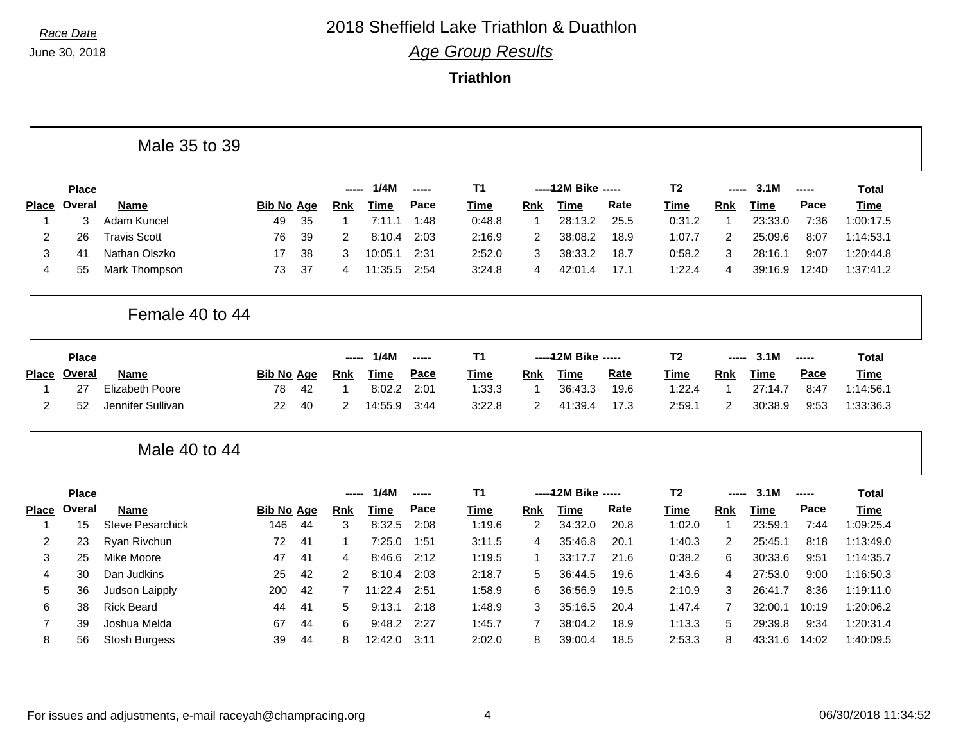Г

# *Race Date* 2018 Sheffield Lake Triathlon & Duathlon

*Age Group Results*

**Triathlon**

|                |              | Male 35 to 39           |                   |    |                |             |       |             |                |                      |      |                |                |             |       |              |
|----------------|--------------|-------------------------|-------------------|----|----------------|-------------|-------|-------------|----------------|----------------------|------|----------------|----------------|-------------|-------|--------------|
|                | <b>Place</b> |                         |                   |    | -----          | 1/4M        | ----- | T1          |                | ----- 12M Bike ----- |      | T <sub>2</sub> | -----          | 3.1M        | ----- | <b>Total</b> |
| <b>Place</b>   | Overal       | <b>Name</b>             | <b>Bib No Age</b> |    | <b>Rnk</b>     | <b>Time</b> | Pace  | <b>Time</b> | <b>Rnk</b>     | <b>Time</b>          | Rate | Time           | Rnk            | <b>Time</b> | Pace  | <b>Time</b>  |
| -1             | 3            | Adam Kuncel             | 49                | 35 | $\overline{1}$ | 7:11.1      | 1:48  | 0:48.8      | -1             | 28:13.2              | 25.5 | 0:31.2         | $\mathbf 1$    | 23:33.0     | 7:36  | 1:00:17.5    |
| $\overline{c}$ | 26           | <b>Travis Scott</b>     | 76                | 39 | 2              | 8:10.4      | 2:03  | 2:16.9      | 2              | 38:08.2              | 18.9 | 1:07.7         | $\overline{2}$ | 25:09.6     | 8:07  | 1:14:53.1    |
| 3              | 41           | Nathan Olszko           | 17                | 38 | 3              | 10:05.1     | 2:31  | 2:52.0      | 3              | 38:33.2              | 18.7 | 0:58.2         | 3              | 28:16.1     | 9:07  | 1:20:44.8    |
| 4              | 55           | Mark Thompson           | 73                | 37 | 4              | 11:35.5     | 2:54  | 3:24.8      | 4              | 42:01.4              | 17.1 | 1:22.4         | $\overline{4}$ | 39:16.9     | 12:40 | 1:37:41.2    |
|                |              | Female 40 to 44         |                   |    |                |             |       |             |                |                      |      |                |                |             |       |              |
|                | <b>Place</b> |                         |                   |    | -----          | 1/4M        | ----- | T1          |                | ----- 12M Bike ----- |      | T <sub>2</sub> | -----          | 3.1M        | ----- | <b>Total</b> |
| <b>Place</b>   | Overal       | <b>Name</b>             | <b>Bib No Age</b> |    | <b>Rnk</b>     | <b>Time</b> | Pace  | Time        | <b>Rnk</b>     | <b>Time</b>          | Rate | <b>Time</b>    | Rnk            | <b>Time</b> | Pace  | <b>Time</b>  |
| -1             | 27           | <b>Elizabeth Poore</b>  | 78                | 42 | -1             | 8:02.2      | 2:01  | 1:33.3      | -1             | 36:43.3              | 19.6 | 1:22.4         | $\mathbf{1}$   | 27:14.7     | 8:47  | 1:14:56.1    |
| 2              | 52           | Jennifer Sullivan       | 22                | 40 | 2              | 14:55.9     | 3:44  | 3:22.8      | 2              | 41:39.4              | 17.3 | 2:59.1         | $\overline{2}$ | 30:38.9     | 9:53  | 1:33:36.3    |
|                |              | Male 40 to 44           |                   |    |                |             |       |             |                |                      |      |                |                |             |       |              |
|                | <b>Place</b> |                         |                   |    | ----           | 1/4M        | ----- | <b>T1</b>   |                | ----- 12M Bike ----- |      | T <sub>2</sub> | ----           | 3.1M        | ----- | <b>Total</b> |
| <b>Place</b>   | Overal       | <b>Name</b>             | <b>Bib No Age</b> |    | <b>Rnk</b>     | <b>Time</b> | Pace  | <b>Time</b> | <b>Rnk</b>     | <b>Time</b>          | Rate | <b>Time</b>    | Rnk            | <b>Time</b> | Pace  | <b>Time</b>  |
| -1             | 15           | <b>Steve Pesarchick</b> | 146               | 44 | 3              | 8:32.5      | 2:08  | 1:19.6      | $\overline{2}$ | 34:32.0              | 20.8 | 1:02.0         | $\overline{1}$ | 23:59.1     | 7:44  | 1:09:25.4    |
| 2              | 23           | Ryan Rivchun            | 72                | 41 | 1              | 7:25.0      | 1:51  | 3:11.5      | 4              | 35:46.8              | 20.1 | 1:40.3         | 2              | 25:45.1     | 8:18  | 1:13:49.0    |
| 3              | 25           | Mike Moore              | 47                | 41 | 4              | 8:46.6      | 2:12  | 1:19.5      | -1             | 33:17.7              | 21.6 | 0:38.2         | 6              | 30:33.6     | 9:51  | 1:14:35.7    |
| 4              | 30           | Dan Judkins             | 25                | 42 | 2              | 8:10.4      | 2:03  | 2:18.7      | 5              | 36:44.5              | 19.6 | 1:43.6         | $\overline{4}$ | 27:53.0     | 9:00  | 1:16:50.3    |
| 5              | 36           | Judson Laipply          | 200               | 42 | 7              | 11:22.4     | 2:51  | 1:58.9      | 6              | 36:56.9              | 19.5 | 2:10.9         | 3              | 26:41.7     | 8:36  | 1:19:11.0    |
| 6              | 38           | <b>Rick Beard</b>       | 44                | 41 | 5              | 9:13.1      | 2:18  | 1:48.9      | 3              | 35:16.5              | 20.4 | 1:47.4         | $\overline{7}$ | 32:00.1     | 10:19 | 1:20:06.2    |
| 7              | 39           | Joshua Melda            | 67                | 44 | 6              | 9:48.2      | 2:27  | 1:45.7      | 7              | 38:04.2              | 18.9 | 1:13.3         | 5              | 29:39.8     | 9:34  | 1:20:31.4    |
| 8              | 56           | Stosh Burgess           | 39                | 44 | 8              | 12:42.0     | 3:11  | 2:02.0      | 8              | 39:00.4              | 18.5 | 2:53.3         | 8              | 43:31.6     | 14:02 | 1:40:09.5    |

For issues and adjustments, e-mail raceyah@champracing.org 4 06/30/2018 11:34:52

п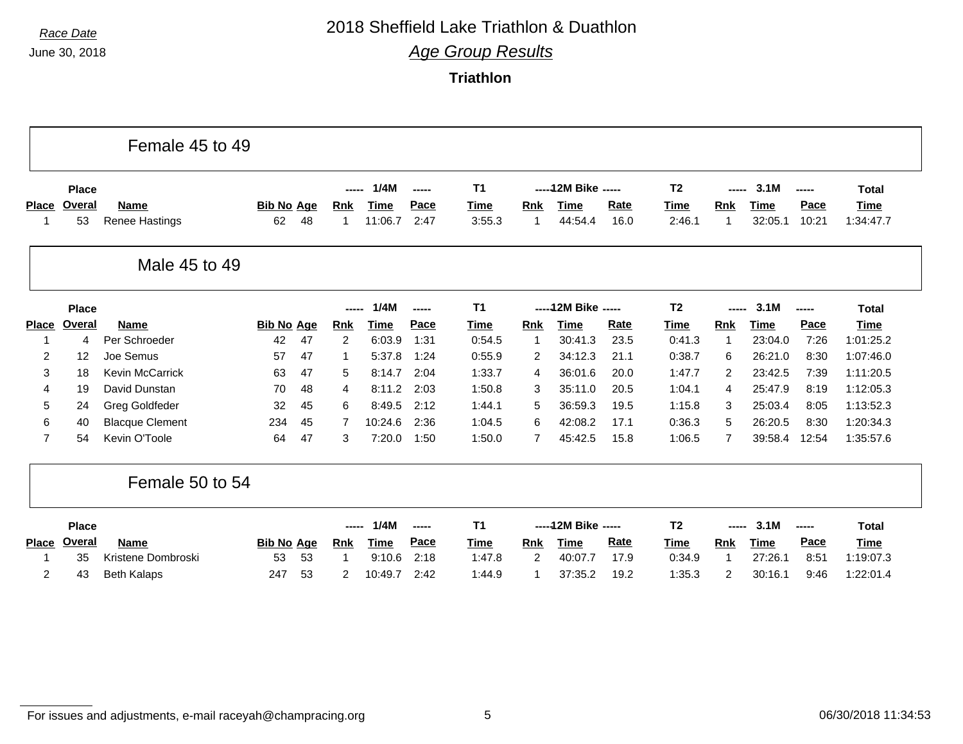### *Race Date* 2018 Sheffield Lake Triathlon & Duathlon

*Age Group Results*

**Triathlon**

|                |                        | Female 45 to 49        |                   |    |                     |              |                |                          |             |                                     |             |                        |                     |                     |               |                             |
|----------------|------------------------|------------------------|-------------------|----|---------------------|--------------|----------------|--------------------------|-------------|-------------------------------------|-------------|------------------------|---------------------|---------------------|---------------|-----------------------------|
| <b>Place</b>   | <b>Place</b><br>Overal | <b>Name</b>            | <b>Bib No Age</b> |    | -----<br><b>Rnk</b> | 1/4M<br>Time | ------<br>Pace | <b>T1</b><br><b>Time</b> | <b>Rnk</b>  | ----- 12M Bike -----<br><b>Time</b> | <b>Rate</b> | T <sub>2</sub><br>Time | -----<br><b>Rnk</b> | 3.1M<br><b>Time</b> | -----<br>Pace | <b>Total</b><br><b>Time</b> |
|                | 53                     | Renee Hastings         | 62                | 48 | -1                  | 11:06.7      | 2:47           | 3:55.3                   |             | 44:54.4                             | 16.0        | 2:46.1                 | 1                   | 32:05.1             | 10:21         | 1:34:47.7                   |
|                |                        | Male 45 to 49          |                   |    |                     |              |                |                          |             |                                     |             |                        |                     |                     |               |                             |
|                | <b>Place</b>           |                        |                   |    | -----               | 1/4M         | -----          | <b>T1</b>                |             | ----- 12M Bike -----                |             | T <sub>2</sub>         |                     | 3.1M                | -----         | <b>Total</b>                |
| <b>Place</b>   | Overal                 | <b>Name</b>            | <b>Bib No Age</b> |    | <u>Rnk</u>          | <b>Time</b>  | Pace           | <b>Time</b>              | Rnk         | <b>Time</b>                         | Rate        | Time                   | Rnk                 | <b>Time</b>         | Pace          | <b>Time</b>                 |
|                | 4                      | Per Schroeder          | 42                | 47 | 2                   | 6:03.9       | 1:31           | 0:54.5                   | $\mathbf 1$ | 30:41.3                             | 23.5        | 0:41.3                 | $\mathbf 1$         | 23:04.0             | 7:26          | 1:01:25.2                   |
| 2              | 12                     | Joe Semus              | 57                | 47 | -1                  | 5:37.8       | 1:24           | 0:55.9                   | 2           | 34:12.3                             | 21.1        | 0:38.7                 | 6                   | 26:21.0             | 8:30          | 1:07:46.0                   |
| 3              | 18                     | Kevin McCarrick        | 63                | 47 | 5                   | 8:14.7       | 2:04           | 1:33.7                   | 4           | 36:01.6                             | 20.0        | 1:47.7                 | 2                   | 23:42.5             | 7:39          | 1:11:20.5                   |
| 4              | 19                     | David Dunstan          | 70                | 48 | 4                   | 8:11.2       | 2:03           | 1:50.8                   | 3           | 35:11.0                             | 20.5        | 1:04.1                 | 4                   | 25:47.9             | 8:19          | 1:12:05.3                   |
| 5              | 24                     | <b>Greg Goldfeder</b>  | 32                | 45 | 6                   | 8:49.5       | 2:12           | 1:44.1                   | 5           | 36:59.3                             | 19.5        | 1:15.8                 | 3                   | 25:03.4             | 8:05          | 1:13:52.3                   |
| 6              | 40                     | <b>Blacque Clement</b> | 234               | 45 | 7                   | 10:24.6      | 2:36           | 1:04.5                   | 6           | 42:08.2                             | 17.1        | 0:36.3                 | 5                   | 26:20.5             | 8:30          | 1:20:34.3                   |
| $\overline{7}$ | 54                     | Kevin O'Toole          | 64                | 47 | 3                   | 7:20.0       | 1:50           | 1:50.0                   | 7           | 45:42.5                             | 15.8        | 1:06.5                 | 7                   | 39:58.4             | 12:54         | 1:35:57.6                   |
|                |                        | Female 50 to 54        |                   |    |                     |              |                |                          |             |                                     |             |                        |                     |                     |               |                             |
|                | <b>Place</b>           |                        |                   |    | -----               | 1/4M         | -----          | T <sub>1</sub>           |             | ----- 12M Bike -----                |             | T <sub>2</sub>         | -----               | 3.1M                | -----         | <b>Total</b>                |
| <b>Place</b>   | Overal                 | <b>Name</b>            | <b>Bib No Age</b> |    | <b>Rnk</b>          | Time         | Pace           | Time                     | Rnk         | <b>Time</b>                         | <b>Rate</b> | Time                   | Rnk                 | <b>Time</b>         | Pace          | <b>Time</b>                 |
|                | 35                     | Kristene Dombroski     | 53                | 53 | -1                  | 9:10.6       | 2:18           | 1:47.8                   | 2           | 40:07.7                             | 17.9        | 0:34.9                 | -1                  | 27:26.1             | 8:51          | 1:19:07.3                   |
| 2              | 43                     | <b>Beth Kalaps</b>     | 247               | 53 | 2                   | 10:49.7      | 2:42           | 1:44.9                   |             | 37:35.2                             | 19.2        | 1:35.3                 | 2                   | 30:16.1             | 9:46          | 1:22:01.4                   |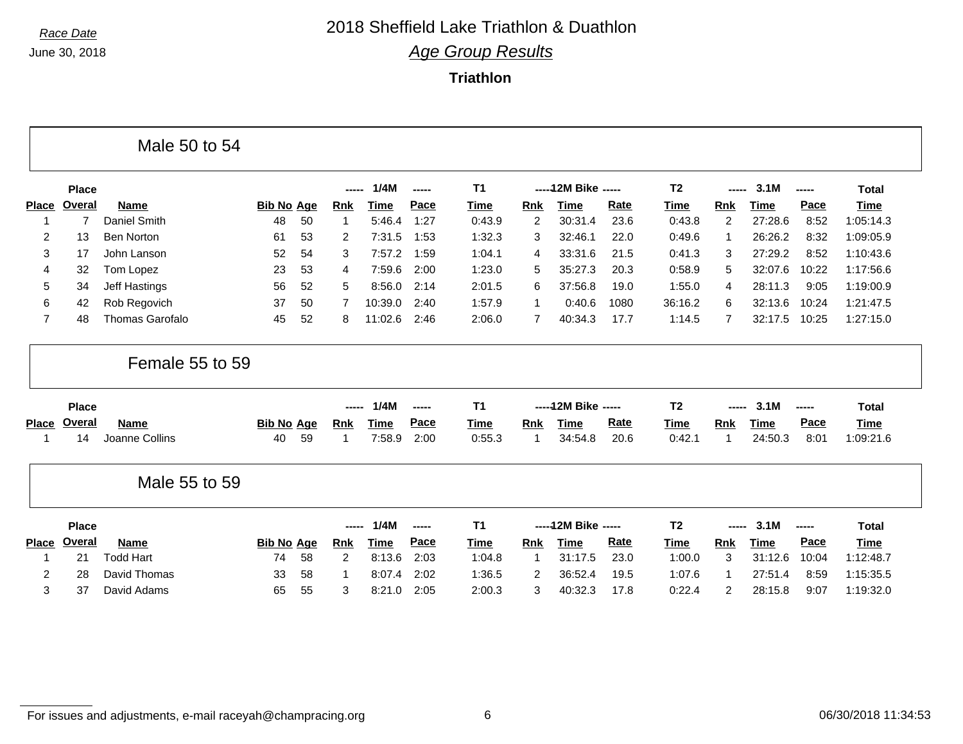### *Race Date* 2018 Sheffield Lake Triathlon & Duathlon *Age Group Results*

**Triathlon**

|                |               | Male 50 to 54     |                   |    |            |             |       |                |                |                      |      |                |            |             |       |              |
|----------------|---------------|-------------------|-------------------|----|------------|-------------|-------|----------------|----------------|----------------------|------|----------------|------------|-------------|-------|--------------|
|                | <b>Place</b>  |                   |                   |    | -----      | 1/4M        | ----- | <b>T1</b>      |                | ----- 12M Bike ----- |      | T <sub>2</sub> | -----      | 3.1M        | ----- | <b>Total</b> |
| <b>Place</b>   | Overal        | <b>Name</b>       | <b>Bib No Age</b> |    | Rnk        | Time        | Pace  | <b>Time</b>    | Rnk            | Time                 | Rate | Time           | <b>Rnk</b> | Time        | Pace  | Time         |
| -1             | 7             | Daniel Smith      | 48                | 50 | 1          | 5:46.4      | 1:27  | 0:43.9         | $\overline{2}$ | 30:31.4              | 23.6 | 0:43.8         | 2          | 27:28.6     | 8:52  | 1:05:14.3    |
| $\overline{2}$ | 13            | <b>Ben Norton</b> | 61                | 53 | 2          | 7:31.5      | 1:53  | 1:32.3         | 3              | 32:46.1              | 22.0 | 0:49.6         | 1          | 26:26.2     | 8:32  | 1:09:05.9    |
| 3              | 17            | John Lanson       | 52                | 54 | 3          | 7:57.2      | 1:59  | 1:04.1         | 4              | 33:31.6              | 21.5 | 0:41.3         | 3          | 27:29.2     | 8:52  | 1:10:43.6    |
| 4              | 32            | Tom Lopez         | 23                | 53 | 4          | 7:59.6      | 2:00  | 1:23.0         | 5              | 35:27.3              | 20.3 | 0:58.9         | 5          | 32:07.6     | 10:22 | 1:17:56.6    |
| 5              | 34            | Jeff Hastings     | 56                | 52 | 5          | 8:56.0      | 2:14  | 2:01.5         | 6              | 37:56.8              | 19.0 | 1:55.0         | 4          | 28:11.3     | 9:05  | 1:19:00.9    |
| 6              | 42            | Rob Regovich      | 37                | 50 | 7          | 10:39.0     | 2:40  | 1:57.9         | $\overline{1}$ | 0:40.6               | 1080 | 36:16.2        | 6          | 32:13.6     | 10:24 | 1:21:47.5    |
| $\overline{7}$ | 48            | Thomas Garofalo   | 45                | 52 | 8          | 11:02.6     | 2:46  | 2:06.0         | 7              | 40:34.3              | 17.7 | 1:14.5         | 7          | 32:17.5     | 10:25 | 1:27:15.0    |
|                |               |                   |                   |    |            |             |       |                |                |                      |      |                |            |             |       |              |
|                | <b>Place</b>  | Female 55 to 59   |                   |    | -----      | 1/4M        | ----- | T <sub>1</sub> |                | ----- 12M Bike ----- |      | T <sub>2</sub> |            | 3.1M        | ----- | <b>Total</b> |
|                | Overal        | <b>Name</b>       | <b>Bib No Age</b> |    | <u>Rnk</u> | Time        | Pace  | <b>Time</b>    | <b>Rnk</b>     | Time                 | Rate | Time           | <b>Rnk</b> | Time        | Pace  | <b>Time</b>  |
| -1             | 14            | Joanne Collins    | 40                | 59 | -1         | 7:58.9      | 2:00  | 0:55.3         | 1              | 34:54.8              | 20.6 | 0:42.1         | -1         | 24:50.3     | 8:01  | 1:09:21.6    |
| <b>Place</b>   |               | Male 55 to 59     |                   |    |            |             |       |                |                |                      |      |                |            |             |       |              |
|                | <b>Place</b>  |                   |                   |    | -----      | 1/4M        | ----- | T <sub>1</sub> |                | ----- 12M Bike ----- |      | T <sub>2</sub> |            | 3.1M        | ----- | <b>Total</b> |
| <b>Place</b>   | <b>Overal</b> | Name              | <b>Bib No Age</b> |    | <b>Rnk</b> | <b>Time</b> | Pace  | <b>Time</b>    | Rnk            | <b>Time</b>          | Rate | Time           | Rnk        | <b>Time</b> | Pace  | <b>Time</b>  |
| -1             | 21            | <b>Todd Hart</b>  | 74                | 58 | 2          | 8:13.6      | 2:03  | 1:04.8         | -1             | 31:17.5              | 23.0 | 1:00.0         | 3          | 31:12.6     | 10:04 | 1:12:48.7    |
| 2              | 28            | David Thomas      | 33                | 58 | -1         | 8:07.4      | 2:02  | 1:36.5         | 2              | 36:52.4              | 19.5 | 1:07.6         | 1          | 27:51.4     | 8:59  | 1:15:35.5    |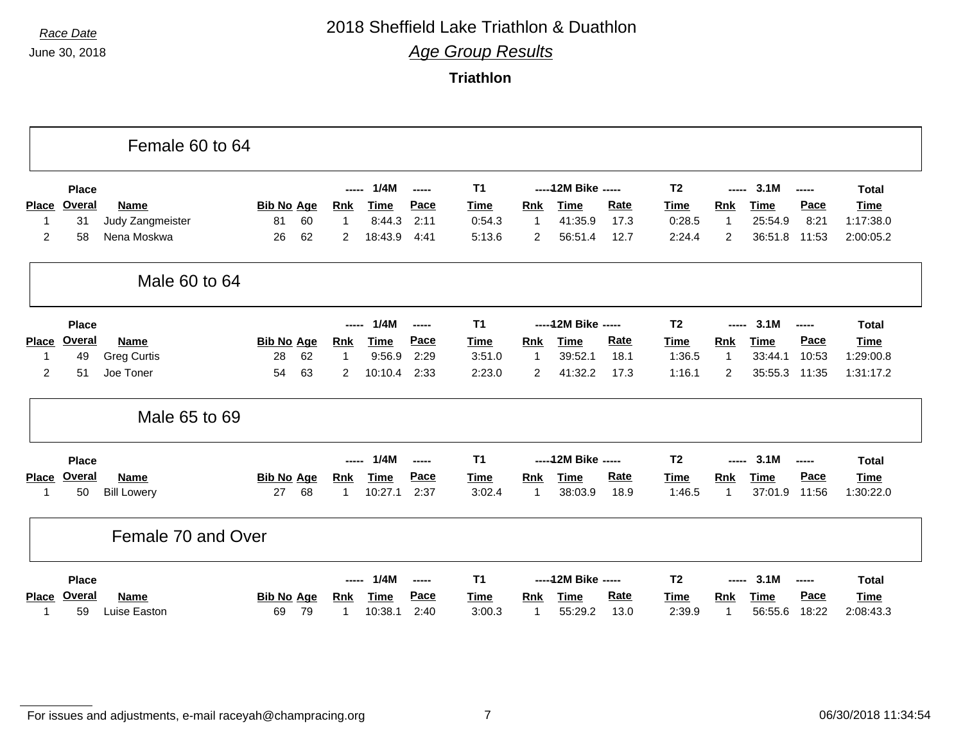### *Race Date* 2018 Sheffield Lake Triathlon & Duathlon

*Age Group Results*

**Triathlon**

|                |               | Female 60 to 64    |                   |                |             |       |                |              |                      |             |                |                |             |       |              |
|----------------|---------------|--------------------|-------------------|----------------|-------------|-------|----------------|--------------|----------------------|-------------|----------------|----------------|-------------|-------|--------------|
|                | <b>Place</b>  |                    |                   | ----           | 1/4M        | ----- | <b>T1</b>      |              | ----- 12M Bike ----- |             | T <sub>2</sub> |                | 3.1M        | ----- | <b>Total</b> |
| <b>Place</b>   | Overal        | <b>Name</b>        | <b>Bib No Age</b> | <b>Rnk</b>     | <b>Time</b> | Pace  | <b>Time</b>    | <b>Rnk</b>   | <b>Time</b>          | Rate        | Time           | <b>Rnk</b>     | Time        | Pace  | <b>Time</b>  |
|                | 31            | Judy Zangmeister   | 81<br>60          | $\overline{1}$ | 8:44.3      | 2:11  | 0:54.3         | $\mathbf{1}$ | 41:35.9              | 17.3        | 0:28.5         | $\mathbf{1}$   | 25:54.9     | 8:21  | 1:17:38.0    |
| $\overline{c}$ | 58            | Nena Moskwa        | 62<br>26          | $\overline{2}$ | 18:43.9     | 4:41  | 5:13.6         | 2            | 56:51.4              | 12.7        | 2:24.4         | $\overline{c}$ | 36:51.8     | 11:53 | 2:00:05.2    |
|                |               | Male 60 to 64      |                   |                |             |       |                |              |                      |             |                |                |             |       |              |
|                | <b>Place</b>  |                    |                   | -----          | 1/4M        | ----- | <b>T1</b>      |              | ----- 12M Bike ----- |             | T <sub>2</sub> |                | 3.1M        | ----- | <b>Total</b> |
| <b>Place</b>   | Overal        | <b>Name</b>        | <b>Bib No Age</b> | <b>Rnk</b>     | <u>Time</u> | Pace  | <b>Time</b>    | <b>Rnk</b>   | <b>Time</b>          | Rate        | <b>Time</b>    | <b>Rnk</b>     | <b>Time</b> | Pace  | <b>Time</b>  |
| 1              | 49            | <b>Greg Curtis</b> | 62<br>28          | $\overline{1}$ | 9:56.9      | 2:29  | 3:51.0         | $\mathbf{1}$ | 39:52.1              | 18.1        | 1:36.5         | $\mathbf{1}$   | 33:44.1     | 10:53 | 1:29:00.8    |
| 2              | 51            | Joe Toner          | 54<br>63          | 2              | 10:10.4     | 2:33  | 2:23.0         | 2            | 41:32.2              | 17.3        | 1:16.1         | 2              | 35:55.3     | 11:35 | 1:31:17.2    |
|                |               | Male 65 to 69      |                   |                |             |       |                |              |                      |             |                |                |             |       |              |
|                | <b>Place</b>  |                    |                   | -----          | 1/4M        | ----- | T <sub>1</sub> |              | ----- 12M Bike ----- |             | T <sub>2</sub> | -----          | 3.1M        | ----- | <b>Total</b> |
| <b>Place</b>   | Overal        | <b>Name</b>        | <b>Bib No Age</b> | Rnk            | <b>Time</b> | Pace  | <b>Time</b>    | Rnk          | <b>Time</b>          | Rate        | <b>Time</b>    | Rnk            | <b>Time</b> | Pace  | <b>Time</b>  |
| 1              | 50            | <b>Bill Lowery</b> | 68<br>27          | -1             | 10:27.1     | 2:37  | 3:02.4         | $\mathbf{1}$ | 38:03.9              | 18.9        | 1:46.5         | $\mathbf{1}$   | 37:01.9     | 11:56 | 1:30:22.0    |
|                |               | Female 70 and Over |                   |                |             |       |                |              |                      |             |                |                |             |       |              |
|                | <b>Place</b>  |                    |                   | -----          | 1/4M        | ----- | <b>T1</b>      |              | ----- 12M Bike ----- |             | T <sub>2</sub> | -----          | 3.1M        | ----- | <b>Total</b> |
| <b>Place</b>   | <b>Overal</b> | <b>Name</b>        | <b>Bib No Age</b> | <b>Rnk</b>     | <b>Time</b> | Pace  | Time           | Rnk          | <b>Time</b>          | <b>Rate</b> | Time           | Rnk            | <b>Time</b> | Pace  | <b>Time</b>  |
|                | 59            | Luise Easton       | 79<br>69          | -1             | 10:38.1     | 2:40  | 3:00.3         | 1            | 55:29.2              | 13.0        | 2:39.9         | 1              | 56:55.6     | 18:22 | 2:08:43.3    |

For issues and adjustments, e-mail raceyah@champracing.org 7 06/30/2018 11:34:54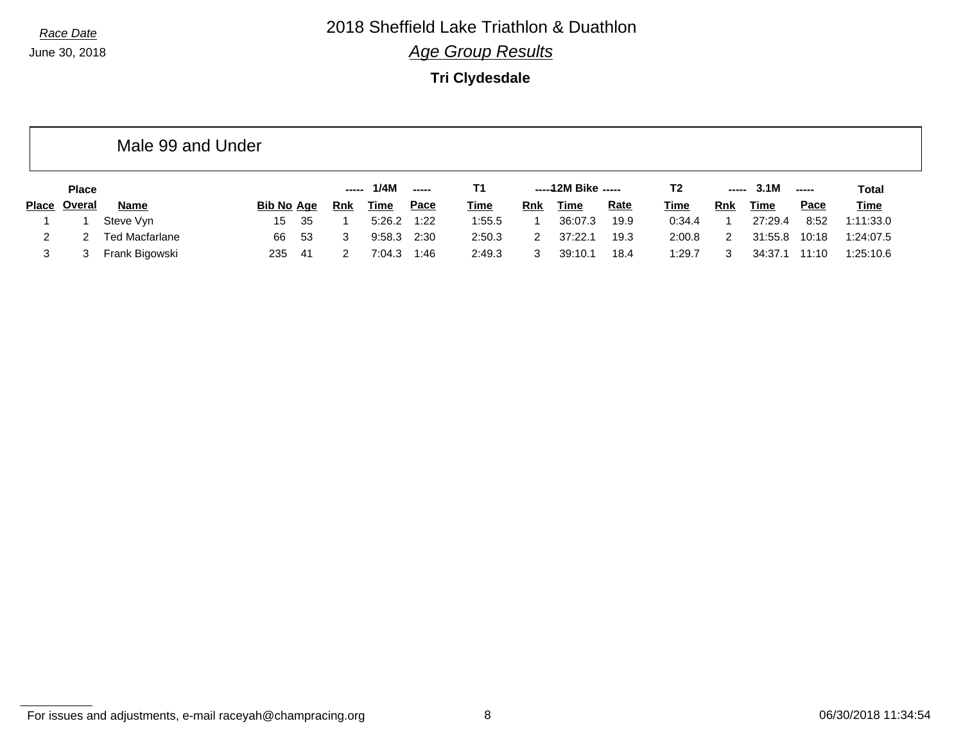*Race Date* 2018 Sheffield Lake Triathlon & Duathlon

*Age Group Results*

**Tri Clydesdale**

|                |              | Male 99 and Under     |                   |     |     |        |             |             |            |                     |             |             |            |         |               |              |
|----------------|--------------|-----------------------|-------------------|-----|-----|--------|-------------|-------------|------------|---------------------|-------------|-------------|------------|---------|---------------|--------------|
|                | <b>Place</b> |                       |                   |     |     | 1/4M   | -----       | Τ1          |            | -----12M Bike ----- |             | T2          | -----      | 3.1M    | $\frac{1}{2}$ | <b>Total</b> |
| <b>Place</b>   | Overal       | Name                  | <b>Bib No Age</b> |     | Rnk | Time   | <u>Pace</u> | <b>Time</b> | <b>Rnk</b> | Time                | <b>Rate</b> | <u>Time</u> | <b>Rnk</b> | Time    | <b>Pace</b>   | <b>Time</b>  |
|                |              | Steve Vyn             | 15                | -35 |     | 5:26.2 | 1:22        | 1:55.5      |            | 36:07.3             | 19.9        | 0:34.4      |            | 27:29.4 | 8:52          | 1:11:33.0    |
| $\overline{2}$ |              | <b>Ted Macfarlane</b> | 66                | -53 | 3   | 9:58.3 | 2:30        | 2:50.3      | 2          | 37:22.1             | 19.3        | 2:00.8      | 2          | 31:55.8 | 10:18         | 1:24:07.5    |
|                |              | Frank Bigowski        | 235               | -41 |     | 7:04.3 | 1:46        | 2:49.3      |            | 39:10.1             | 18.4        | 1:29.7      |            | 34:37.1 | 11:10         | 1:25:10.6    |

For issues and adjustments, e-mail raceyah@champracing.org 8 06/30/2018 11:34:54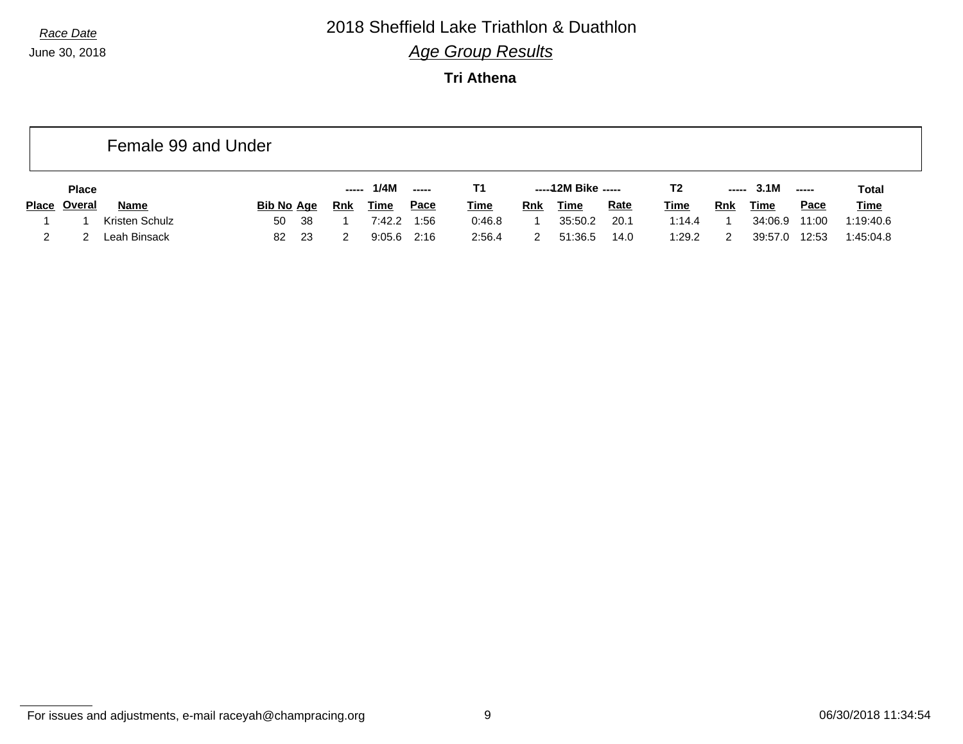## *Race Date* 2018 Sheffield Lake Triathlon & Duathlon

*Age Group Results*

**Tri Athena**

|              |               | Female 99 and Under |                   |       |             |        |             |            |                     |             |             |       |         |                          |             |
|--------------|---------------|---------------------|-------------------|-------|-------------|--------|-------------|------------|---------------------|-------------|-------------|-------|---------|--------------------------|-------------|
|              | <b>Place</b>  |                     |                   | ----- | 1/4M        | $\sim$ | Τ1          |            | -----12M Bike ----- |             | T2          | ----- | 3.1M    | $\overline{\phantom{a}}$ | Total       |
| <b>Place</b> | <u>Overal</u> | <b>Name</b>         | <b>Bib No Age</b> | Rnk   | <b>Time</b> | Pace   | <u>Time</u> | <b>Rnk</b> | Time                | <b>Rate</b> | <u>Time</u> | Rnk   | Time    | <b>Pace</b>              | <u>Time</u> |
|              |               | Kristen Schulz      | -38<br>50         |       | 7:42.2      | 1:56   | 0:46.8      |            | 35:50.2             | 20.1        | 1:14.4      |       | 34:06.9 | 11:00                    | 1:19:40.6   |
|              |               | Leah Binsack        | -23<br>82         |       | 9:05.6      | 2:16   | 2:56.4      |            | 51:36.5             | 14.0        | 1:29.2      |       | 39:57.0 | 12:53                    | 1:45:04.8   |

For issues and adjustments, e-mail raceyah@champracing.org 06/30/2018 11:34:54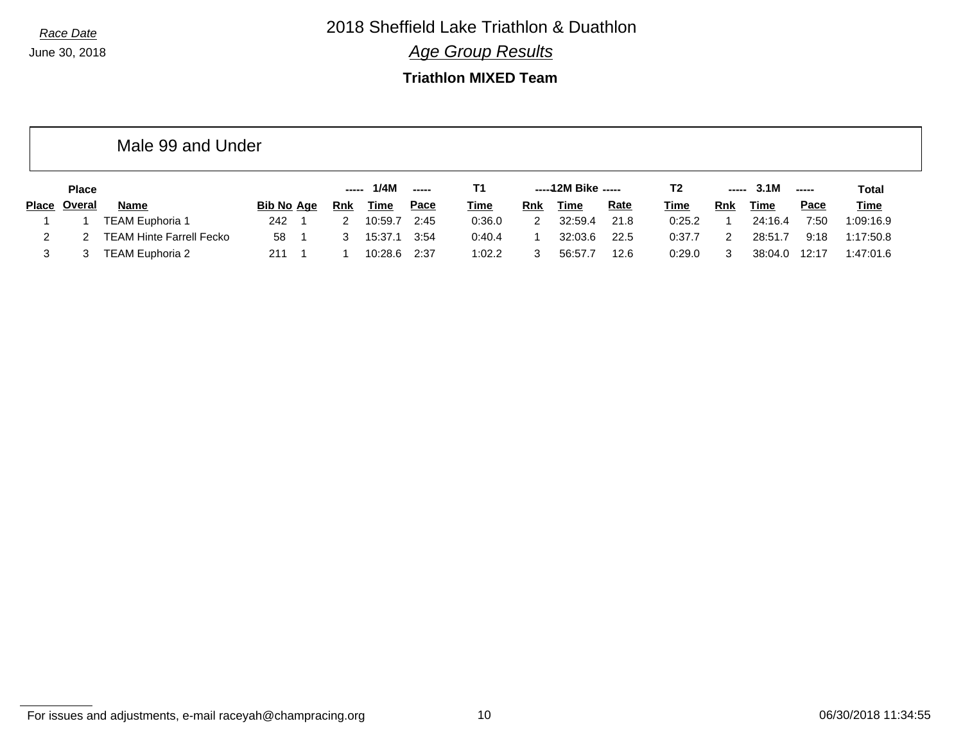*Race Date* 2018 Sheffield Lake Triathlon & Duathlon

*Age Group Results*

#### **Triathlon MIXED Team**

|       |               | Male 99 and Under               |                   |                                                      |             |       |             |     |                     |             |        |            |             |               |              |  |
|-------|---------------|---------------------------------|-------------------|------------------------------------------------------|-------------|-------|-------------|-----|---------------------|-------------|--------|------------|-------------|---------------|--------------|--|
|       | <b>Place</b>  |                                 |                   | $\begin{array}{ccc} - & - & - \\ \hline \end{array}$ | 1/4M        | ----- | Т1          |     | -----12M Bike ----- |             | Τ2     | -----      | 3.1M        | $\frac{1}{2}$ | <b>Total</b> |  |
| Place | <u>Overal</u> | <b>Name</b>                     | <b>Bib No Age</b> | <b>Rnk</b>                                           | <b>Time</b> | Pace  | <u>Time</u> | Rnk | <b>Time</b>         | <b>Rate</b> | Time   | <b>Rnk</b> | <b>Time</b> | Pace          | <b>Time</b>  |  |
|       |               | <b>TEAM Euphoria 1</b>          | 242               |                                                      | 10:59.7     | 2:45  | 0:36.0      | 2   | 32:59.4             | 21.8        | 0:25.2 |            | 24:16.4     | 7:50          | 1:09:16.9    |  |
|       |               | <b>TEAM Hinte Farrell Fecko</b> | 58                |                                                      | 15:37.1     | 3:54  | 0:40.4      |     | 32:03.6             | 22.5        | 0:37.7 |            | 28:51.7     | 9:18          | 1:17:50.8    |  |
|       |               | TEAM Euphoria 2                 | 211               |                                                      | 10:28.6     | 2:37  | 1:02.2      |     | 56:57.7             | 12.6        | 0:29.0 |            | 38:04.0     | 12:17         | 1:47:01.6    |  |

For issues and adjustments, e-mail raceyah@champracing.org 10 06/30/2018 11:34:55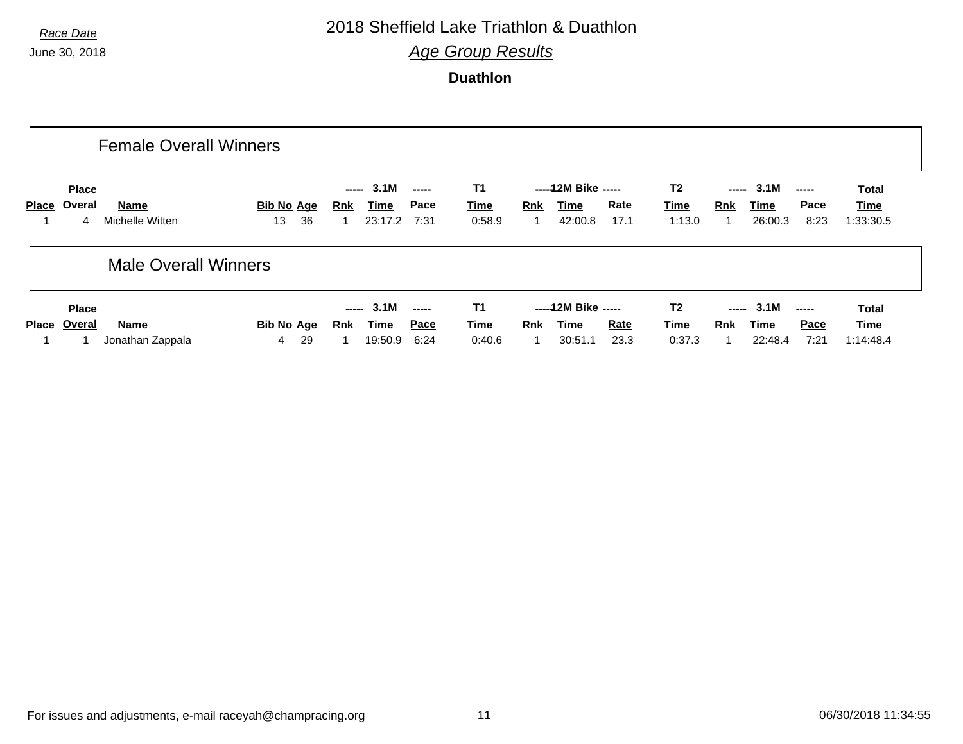### *Race Date* 2018 Sheffield Lake Triathlon & Duathlon

*Age Group Results*

**Duathlon**

|              |                             | <b>Female Overall Winners</b> |                               |                                                |                                                                                                                                                                                                                                                                                                                                                                                                                                                                                                                  |                                    |                                                       |                                                         |                                                                |                                          |
|--------------|-----------------------------|-------------------------------|-------------------------------|------------------------------------------------|------------------------------------------------------------------------------------------------------------------------------------------------------------------------------------------------------------------------------------------------------------------------------------------------------------------------------------------------------------------------------------------------------------------------------------------------------------------------------------------------------------------|------------------------------------|-------------------------------------------------------|---------------------------------------------------------|----------------------------------------------------------------|------------------------------------------|
| Place        | <b>Place</b><br>Overal<br>4 | Name<br>Michelle Witten       | <b>Bib No Age</b><br>36<br>13 | 3.1M<br>-----<br>Time<br><b>Rnk</b><br>23:17.2 | $\begin{array}{c} \multicolumn{3}{c}{} & \multicolumn{3}{c}{} & \multicolumn{3}{c}{} \\ \multicolumn{3}{c}{} & \multicolumn{3}{c}{} & \multicolumn{3}{c}{} & \multicolumn{3}{c}{} \\ \multicolumn{3}{c}{} & \multicolumn{3}{c}{} & \multicolumn{3}{c}{} & \multicolumn{3}{c}{} \\ \multicolumn{3}{c}{} & \multicolumn{3}{c}{} & \multicolumn{3}{c}{} & \multicolumn{3}{c}{} \\ \multicolumn{3}{c}{} & \multicolumn{3}{c}{} & \multicolumn{3}{c}{} & \multicolumn{3}{c}{} \\ \multicolumn$<br><u>Pace</u><br>7:31 | <b>T1</b><br><b>Time</b><br>0:58.9 | ----- 12M Bike -----<br>Rnk<br>Time<br>42:00.8        | T <sub>2</sub><br><u>Rate</u><br>Time<br>17.1<br>1:13.0 | 3.1M<br>-----<br>Pace<br><b>Rnk</b><br>Time<br>26:00.3<br>8:23 | <b>Total</b><br>Time<br>1:33:30.5        |
|              |                             | <b>Male Overall Winners</b>   |                               |                                                |                                                                                                                                                                                                                                                                                                                                                                                                                                                                                                                  |                                    |                                                       |                                                         |                                                                |                                          |
| <b>Place</b> | <b>Place</b><br>Overal      | Name<br>Jonathan Zappala      | Bib No Age<br>29<br>4         | 3.1M<br>-----<br>Rnk<br>Time<br>19:50.9        | $\begin{array}{c} \multicolumn{3}{c}{} & \multicolumn{3}{c}{} & \multicolumn{3}{c}{} \\ \multicolumn{3}{c}{} & \multicolumn{3}{c}{} & \multicolumn{3}{c}{} & \multicolumn{3}{c}{} \\ \multicolumn{3}{c}{} & \multicolumn{3}{c}{} & \multicolumn{3}{c}{} & \multicolumn{3}{c}{} \\ \multicolumn{3}{c}{} & \multicolumn{3}{c}{} & \multicolumn{3}{c}{} & \multicolumn{3}{c}{} \\ \multicolumn{3}{c}{} & \multicolumn{3}{c}{} & \multicolumn{3}{c}{} & \multicolumn{3}{c}{} \\ \multicolumn$<br>Pace<br>6:24        | <b>T1</b><br>Time<br>0:40.6        | ----- 12M Bike -----<br><b>Rnk</b><br>Time<br>30:51.1 | T <sub>2</sub><br>Rate<br>Time<br>23.3<br>0:37.3        | 3.1M<br>-----<br>Pace<br><b>Rnk</b><br>Time<br>22:48.4<br>7:21 | <b>Total</b><br><b>Time</b><br>1:14:48.4 |

For issues and adjustments, e-mail raceyah@champracing.org 11 1 and 11 06/30/2018 11:34:55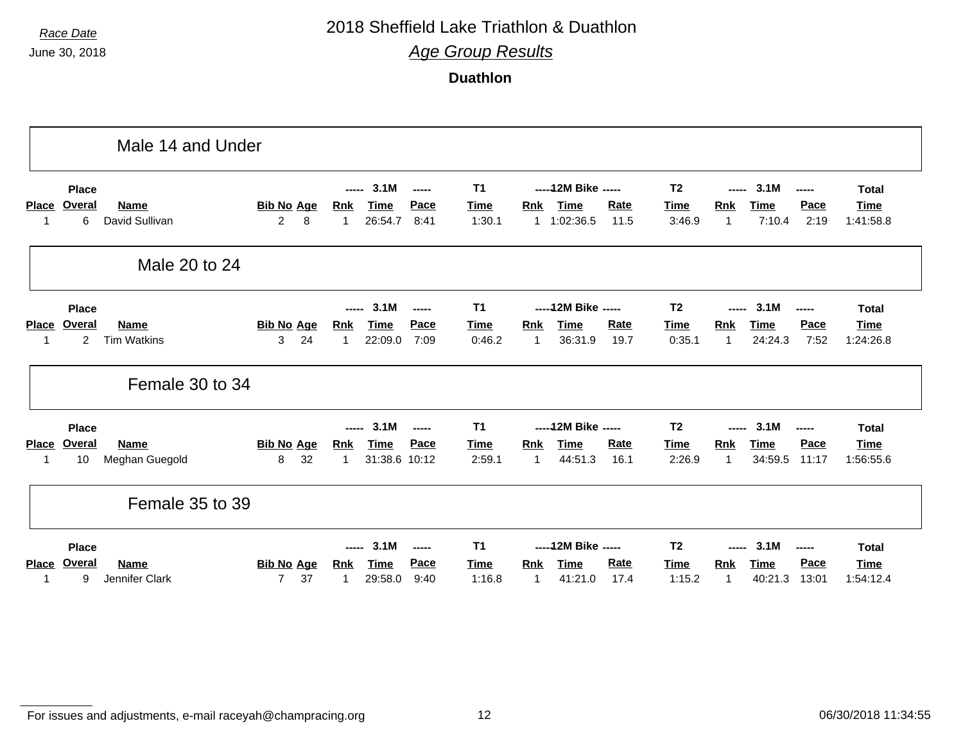### *Race Date* 2018 Sheffield Lake Triathlon & Duathlon

*Age Group Results*

**Duathlon**

|                    |                                                 | Male 14 and Under                 |                                           |                          |                                      |                        |                                         |                              |                                                    |                     |                                         |                                     |                                |                                                                      |                                          |
|--------------------|-------------------------------------------------|-----------------------------------|-------------------------------------------|--------------------------|--------------------------------------|------------------------|-----------------------------------------|------------------------------|----------------------------------------------------|---------------------|-----------------------------------------|-------------------------------------|--------------------------------|----------------------------------------------------------------------|------------------------------------------|
| <b>Place</b>       | <b>Place</b><br><b>Overal</b><br>6              | Name<br>David Sullivan            | <b>Bib No Age</b><br>$\overline{2}$<br>8  | -----<br><b>Rnk</b><br>1 | 3.1M<br><b>Time</b><br>26:54.7       | -----<br>Pace<br>8:41  | <b>T1</b><br><b>Time</b><br>1:30.1      | <b>Rnk</b>                   | ----- 12M Bike -----<br><b>Time</b><br>1 1:02:36.5 | Rate<br>11.5        | T <sub>2</sub><br><b>Time</b><br>3:46.9 | -----<br><b>Rnk</b><br>$\mathbf{1}$ | 3.1M<br><b>Time</b><br>7:10.4  | ------<br>Pace<br>2:19                                               | <b>Total</b><br><b>Time</b><br>1:41:58.8 |
|                    |                                                 | Male 20 to 24                     |                                           |                          |                                      |                        |                                         |                              |                                                    |                     |                                         |                                     |                                |                                                                      |                                          |
| <b>Place</b><br>-1 | <b>Place</b><br><b>Overal</b><br>$\overline{2}$ | <b>Name</b><br><b>Tim Watkins</b> | <b>Bib No Age</b><br>24<br>3              | -----<br><u>Rnk</u><br>1 | 3.1M<br><b>Time</b><br>22:09.0       | ------<br>Pace<br>7:09 | <b>T1</b><br><b>Time</b><br>0:46.2      | <b>Rnk</b><br>$\overline{1}$ | ----- 12M Bike -----<br><b>Time</b><br>36:31.9     | Rate<br>19.7        | T <sub>2</sub><br><u>Time</u><br>0:35.1 | -----<br><u>Rnk</u><br>$\mathbf{1}$ | 3.1M<br><b>Time</b><br>24:24.3 | $\begin{array}{ccc} - & - & - \\ \hline \end{array}$<br>Pace<br>7:52 | <b>Total</b><br><b>Time</b><br>1:24:26.8 |
|                    |                                                 | Female 30 to 34                   |                                           |                          |                                      |                        |                                         |                              |                                                    |                     |                                         |                                     |                                |                                                                      |                                          |
| <b>Place</b><br>-1 | <b>Place</b><br>Overal<br>10                    | <b>Name</b><br>Meghan Guegold     | <b>Bib No Age</b><br>32<br>8              | -----<br><b>Rnk</b><br>1 | 3.1M<br><b>Time</b><br>31:38.6 10:12 | -----<br>Pace          | <b>T1</b><br><b>Time</b><br>2:59.1      | <b>Rnk</b><br>$\mathbf{1}$   | ----- 12M Bike -----<br><b>Time</b><br>44:51.3     | <b>Rate</b><br>16.1 | T <sub>2</sub><br><u>Time</u><br>2:26.9 | -----<br><b>Rnk</b><br>$\mathbf{1}$ | 3.1M<br><b>Time</b><br>34:59.5 | -----<br>Pace<br>11:17                                               | <b>Total</b><br><b>Time</b><br>1:56:55.6 |
|                    |                                                 | Female 35 to 39                   |                                           |                          |                                      |                        |                                         |                              |                                                    |                     |                                         |                                     |                                |                                                                      |                                          |
| <b>Place</b>       | <b>Place</b><br>Overal<br>9                     | <b>Name</b><br>Jennifer Clark     | <b>Bib No Age</b><br>$\overline{7}$<br>37 | -----<br><b>Rnk</b>      | 3.1M<br><b>Time</b><br>29:58.0       | ------<br>Pace<br>9:40 | T <sub>1</sub><br><b>Time</b><br>1:16.8 | Rnk<br>$\mathbf 1$           | ----- 12M Bike -----<br><b>Time</b><br>41:21.0     | Rate<br>17.4        | T <sub>2</sub><br>Time<br>1:15.2        | -----<br><b>Rnk</b><br>-1           | 3.1M<br><b>Time</b><br>40:21.3 | -----<br>Pace<br>13:01                                               | <b>Total</b><br><b>Time</b><br>1:54:12.4 |

For issues and adjustments, e-mail raceyah@champracing.org 12 06/30/2018 11:34:55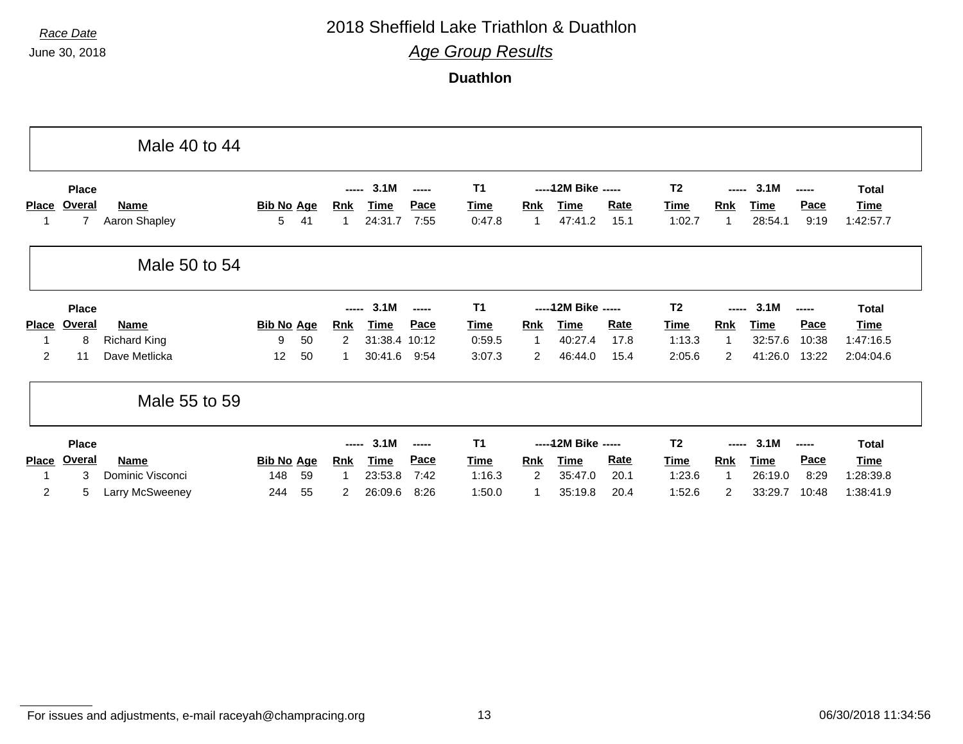### *Race Date* 2018 Sheffield Lake Triathlon & Duathlon

*Age Group Results*

**Duathlon**

|                |                          | Male 40 to 44                |                        |                |                        |                 |                     |                       |                        |                 |              |                       |                        |                 |              |                   |
|----------------|--------------------------|------------------------------|------------------------|----------------|------------------------|-----------------|---------------------|-----------------------|------------------------|-----------------|--------------|-----------------------|------------------------|-----------------|--------------|-------------------|
|                | <b>Place</b>             |                              |                        |                | 3.1M<br>-----<br>----- |                 |                     | <b>T1</b>             | ----- 12M Bike -----   |                 |              | T <sub>2</sub>        | 3.1M<br>-----<br>----- |                 |              | <b>Total</b>      |
| <b>Place</b>   | Overal<br>$\overline{7}$ | <b>Name</b><br>Aaron Shapley | <b>Bib No Age</b><br>5 | 41             | Rnk<br>-1              | Time<br>24:31.7 | <b>Pace</b><br>7:55 | <b>Time</b><br>0:47.8 | <b>Rnk</b>             | Time<br>47:41.2 | Rate<br>15.1 | <u>Time</u><br>1:02.7 | Rnk<br>-1              | Time<br>28:54.1 | Pace<br>9:19 | Time<br>1:42:57.7 |
|                |                          | Male 50 to 54                |                        |                |                        |                 |                     |                       |                        |                 |              |                       |                        |                 |              |                   |
|                | <b>Place</b>             |                              |                        |                | 3.1M<br>-----<br>----- |                 |                     | <b>T1</b>             | ----- 12M Bike -----   |                 |              | T <sub>2</sub>        | 3.1M<br>-----<br>----- |                 |              | <b>Total</b>      |
| <b>Place</b>   | Overal                   | <b>Name</b>                  | <b>Bib No Age</b>      |                | <b>Rnk</b>             | <b>Time</b>     | Pace                | <b>Time</b>           | <b>Rnk</b>             | <b>Time</b>     | Rate         | <b>Time</b>           | <b>Rnk</b>             | <b>Time</b>     | Pace         | Time              |
|                | 8                        | <b>Richard King</b>          | 9                      | 50             | 2                      | 31:38.4 10:12   |                     | 0:59.5                | $\overline{1}$         | 40:27.4         | 17.8         | 1:13.3                | -1                     | 32:57.6         | 10:38        | 1:47:16.5         |
| $\overline{2}$ | 11                       | Dave Metlicka                | 12                     | 50             | 1                      | 30:41.6         | 9:54                | 3:07.3                | $\overline{2}$         | 46:44.0         | 15.4         | 2:05.6                | $\overline{c}$         | 41:26.0         | 13:22        | 2:04:04.6         |
|                |                          | Male 55 to 59                |                        |                |                        |                 |                     |                       |                        |                 |              |                       |                        |                 |              |                   |
|                | <b>Place</b>             | 3.1M<br>-----<br>-----       |                        | T <sub>1</sub> | ----- 12M Bike -----   |                 |                     | T <sub>2</sub>        | 3.1M<br>-----<br>----- |                 |              | <b>Total</b>          |                        |                 |              |                   |
| <b>Place</b>   | Overal                   | <b>Name</b>                  | <b>Bib No Age</b>      |                | <b>Rnk</b>             | <b>Time</b>     | Pace                | <b>Time</b>           | <b>Rnk</b>             | <b>Time</b>     | Rate         | <b>Time</b>           | <b>Rnk</b>             | Time            | Pace         | <b>Time</b>       |
|                | 3                        | Dominic Visconci             | 148                    | 59             | -1                     | 23:53.8         | 7:42                | 1:16.3                | 2                      | 35:47.0         | 20.1         | 1:23.6                | -1                     | 26:19.0         | 8:29         | 1:28:39.8         |
|                |                          |                              |                        |                |                        |                 |                     |                       |                        |                 |              |                       |                        |                 |              |                   |

For issues and adjustments, e-mail raceyah@champracing.org 13 06/30/2018 11:34:56